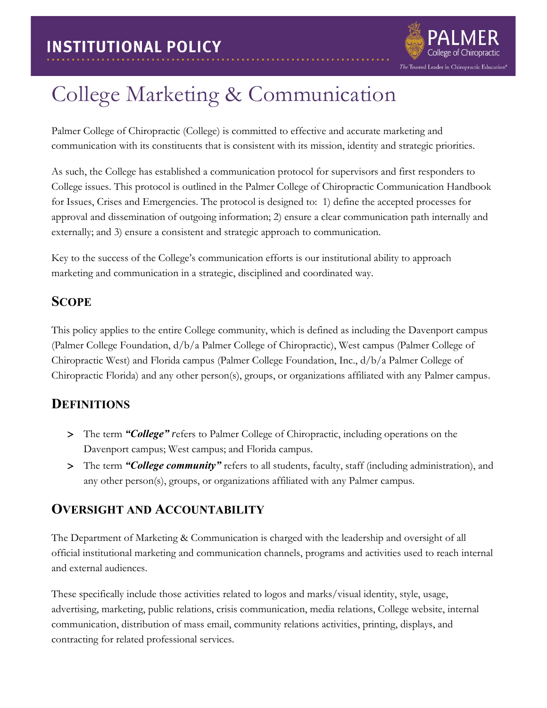

# College Marketing & Communication

Palmer College of Chiropractic (College) is committed to effective and accurate marketing and communication with its constituents that is consistent with its mission, identity and strategic priorities.

As such, the College has established a communication protocol for supervisors and first responders to College issues. This protocol is outlined in the Palmer College of Chiropractic Communication Handbook for Issues, Crises and Emergencies. The protocol is designed to: 1) define the accepted processes for approval and dissemination of outgoing information; 2) ensure a clear communication path internally and externally; and 3) ensure a consistent and strategic approach to communication.

Key to the success of the College's communication efforts is our institutional ability to approach marketing and communication in a strategic, disciplined and coordinated way.

#### **SCOPE**

This policy applies to the entire College community, which is defined as including the Davenport campus (Palmer College Foundation, d/b/a Palmer College of Chiropractic), West campus (Palmer College of Chiropractic West) and Florida campus (Palmer College Foundation, Inc., d/b/a Palmer College of Chiropractic Florida) and any other person(s), groups, or organizations affiliated with any Palmer campus.

#### **DEFINITIONS**

- The term *"College" r*efers to Palmer College of Chiropractic, including operations on the Davenport campus; West campus; and Florida campus.
- The term *"College community"* refers to all students, faculty, staff (including administration), and any other person(s), groups, or organizations affiliated with any Palmer campus.

## **OVERSIGHT AND ACCOUNTABILITY**

The Department of Marketing & Communication is charged with the leadership and oversight of all official institutional marketing and communication channels, programs and activities used to reach internal and external audiences.

These specifically include those activities related to logos and marks/visual identity, style, usage, advertising, marketing, public relations, crisis communication, media relations, College website, internal communication, distribution of mass email, community relations activities, printing, displays, and contracting for related professional services.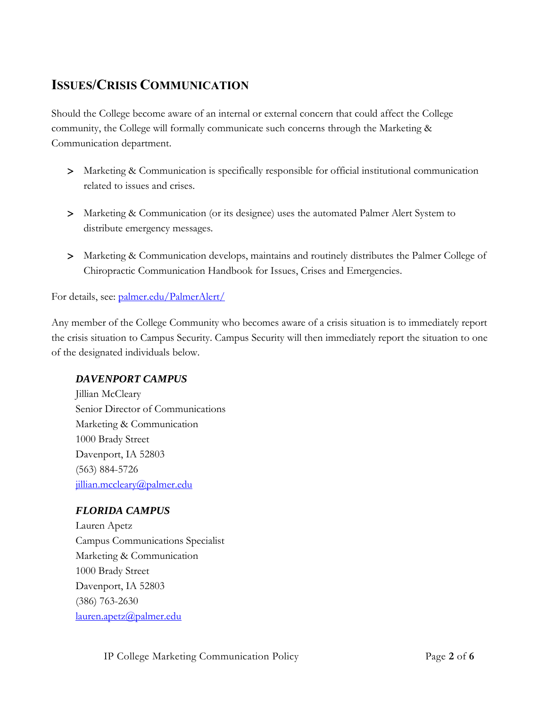## **ISSUES/CRISIS COMMUNICATION**

Should the College become aware of an internal or external concern that could affect the College community, the College will formally communicate such concerns through the Marketing & Communication department.

- Marketing & Communication is specifically responsible for official institutional communication related to issues and crises.
- Marketing & Communication (or its designee) uses the automated Palmer Alert System to distribute emergency messages.
- Marketing & Communication develops, maintains and routinely distributes the Palmer College of Chiropractic Communication Handbook for Issues, Crises and Emergencies.

For details, see: [palmer.edu/PalmerAlert/](http://www.palmer.edu/students/resources-offices/palmer-alert/)

Any member of the College Community who becomes aware of a crisis situation is to immediately report the crisis situation to Campus Security. Campus Security will then immediately report the situation to one of the designated individuals below.

#### *DAVENPORT CAMPUS*

Jillian McCleary Senior Director of Communications Marketing & Communication 1000 Brady Street Davenport, IA 52803 (563) 884-5726 jillian.mccleary@palmer.edu

#### *FLORIDA CAMPUS*

Lauren Apetz Campus Communications Specialist Marketing & Communication 1000 Brady Street Davenport, IA 52803 (386) 763-2630 [lauren.apetz@palmer.edu](mailto:lauren.apetz@palmer.edu)

IP College Marketing Communication Policy Page **2** of **6**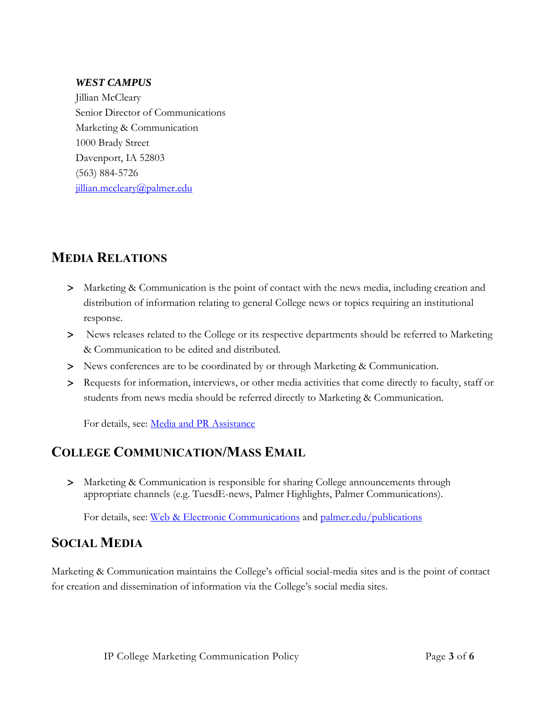#### *WEST CAMPUS*

Jillian McCleary Senior Director of Communications Marketing & Communication 1000 Brady Street Davenport, IA 52803 (563) 884-5726 jillian.mccleary@palmer.edu

#### **MEDIA RELATIONS**

- Marketing & Communication is the point of contact with the news media, including creation and distribution of information relating to general College news or topics requiring an institutional response.
- News releases related to the College or its respective departments should be referred to Marketing & Communication to be edited and distributed.
- News conferences are to be coordinated by or through Marketing & Communication.
- Requests for information, interviews, or other media activities that come directly to faculty, staff or students from news media should be referred directly to Marketing & Communication.

For details, see: [Media and PR Assistance](https://livepalmer.sharepoint.com/:w:/r/sites/MarketingandCommunication/Shared%20Documents/media-n-pr-assistance.docx?d=w797aa48f08604e79a2f78c9d1593dbc7&csf=1&web=1&e=bK8ErD)

#### **COLLEGE COMMUNICATION/MASS EMAIL**

 Marketing & Communication is responsible for sharing College announcements through appropriate channels (e.g. TuesdE-news, Palmer Highlights, Palmer Communications).

For details, see: [Web & Electronic Communications](https://livepalmer.sharepoint.com/:w:/r/sites/MarketingandCommunication/Shared%20Documents/web-n-electronic-communication.docx?d=w3288a29463e34cf0b4fbd885105ce127&csf=1&web=1&e=hptOFf) and [palmer.edu/publications](http://www.palmer.edu/publications)

## **SOCIAL MEDIA**

Marketing & Communication maintains the College's official social-media sites and is the point of contact for creation and dissemination of information via the College's social media sites.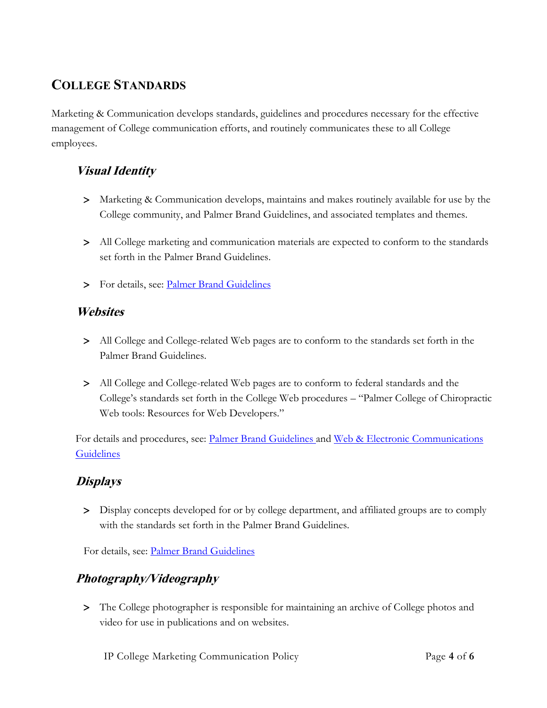## **COLLEGE STANDARDS**

Marketing & Communication develops standards, guidelines and procedures necessary for the effective management of College communication efforts, and routinely communicates these to all College employees.

#### **Visual Identity**

- Marketing & Communication develops, maintains and makes routinely available for use by the College community, and Palmer Brand Guidelines, and associated templates and themes.
- All College marketing and communication materials are expected to conform to the standards set forth in the Palmer Brand Guidelines.
- > For details, see: [Palmer Brand Guidelines](https://livepalmer.sharepoint.com/sites/MarketingandCommunication/Shared%20Documents/Forms/AllItems.aspx?id=%2Fsites%2FMarketingandCommunication%2FShared%20Documents%2Fbrand%2Dguide%2Dcommunicator%2Dtoolkit%2Epdf&parent=%2Fsites%2FMarketingandCommunication%2FShared%20Documents)

#### **Websites**

- All College and College-related Web pages are to conform to the standards set forth in the Palmer Brand Guidelines.
- All College and College-related Web pages are to conform to federal standards and the College's standards set forth in the College Web procedures – "Palmer College of Chiropractic Web tools: Resources for Web Developers."

For details and procedures, see: Palmer [Brand Guidelines](https://livepalmer.sharepoint.com/sites/MarketingandCommunication/Shared%20Documents/Forms/AllItems.aspx?id=%2Fsites%2FMarketingandCommunication%2FShared%20Documents%2Fbrand%2Dguide%2Dcommunicator%2Dtoolkit%2Epdf&parent=%2Fsites%2FMarketingandCommunication%2FShared%20Documents) and Web & Electronic Communications **[Guidelines](https://livepalmer.sharepoint.com/:w:/r/sites/MarketingandCommunication/Shared%20Documents/web-n-electronic-communication.docx?d=w3288a29463e34cf0b4fbd885105ce127&csf=1&web=1&e=hptOFf)** 

#### **Displays**

 Display concepts developed for or by college department, and affiliated groups are to comply with the standards set forth in the Palmer Brand Guidelines.

For details, see: [Palmer Brand Guidelines](https://livepalmer.sharepoint.com/sites/MarketingandCommunication/Shared%20Documents/Forms/AllItems.aspx?id=%2Fsites%2FMarketingandCommunication%2FShared%20Documents%2Fbrand%2Dguide%2Dcommunicator%2Dtoolkit%2Epdf&parent=%2Fsites%2FMarketingandCommunication%2FShared%20Documents)

## **Photography/Videography**

 The College photographer is responsible for maintaining an archive of College photos and video for use in publications and on websites.

IP College Marketing Communication Policy Page **4** of **6**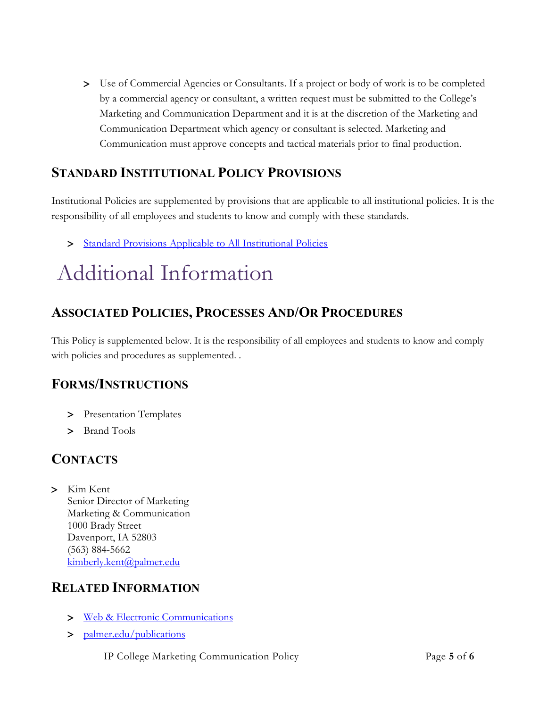Use of Commercial Agencies or Consultants. If a project or body of work is to be completed by a commercial agency or consultant, a written request must be submitted to the College's Marketing and Communication Department and it is at the discretion of the Marketing and Communication Department which agency or consultant is selected. Marketing and Communication must approve concepts and tactical materials prior to final production.

## **STANDARD INSTITUTIONAL POLICY PROVISIONS**

Institutional Policies are supplemented by provisions that are applicable to all institutional policies. It is the responsibility of all employees and students to know and comply with these standards.

> [Standard Provisions Applicable to All Institutional Policies](http://www.palmer.edu/uploadedFiles/Pages/Students/Resources_and_Offices/Handbook_and_Policies/_pdf/Standard-Provisions-Applicable-to-All-Institutional-Policies.pdf)

# Additional Information

## **ASSOCIATED POLICIES, PROCESSES AND/OR PROCEDURES**

This Policy is supplemented below. It is the responsibility of all employees and students to know and comply with policies and procedures as supplemented. .

#### **FORMS/INSTRUCTIONS**

- > Presentation Templates
- > Brand Tools

#### **CONTACTS**

 Kim Kent Senior Director of Marketing Marketing & Communication 1000 Brady Street Davenport, IA 52803 (563) 884-5662 [kimberly.kent@palmer.edu](mailto:kimberly.kent@palmer.edu)

#### **RELATED INFORMATION**

- [Web & Electronic Communications](https://livepalmer.sharepoint.com/:w:/r/sites/MarketingandCommunication/Shared%20Documents/web-n-electronic-communication.docx?d=w3288a29463e34cf0b4fbd885105ce127&csf=1&web=1&e=hptOFf)
- > [palmer.edu/publications](http://www.palmer.edu/publications)
	- IP College Marketing Communication Policy Page **5** of **6**